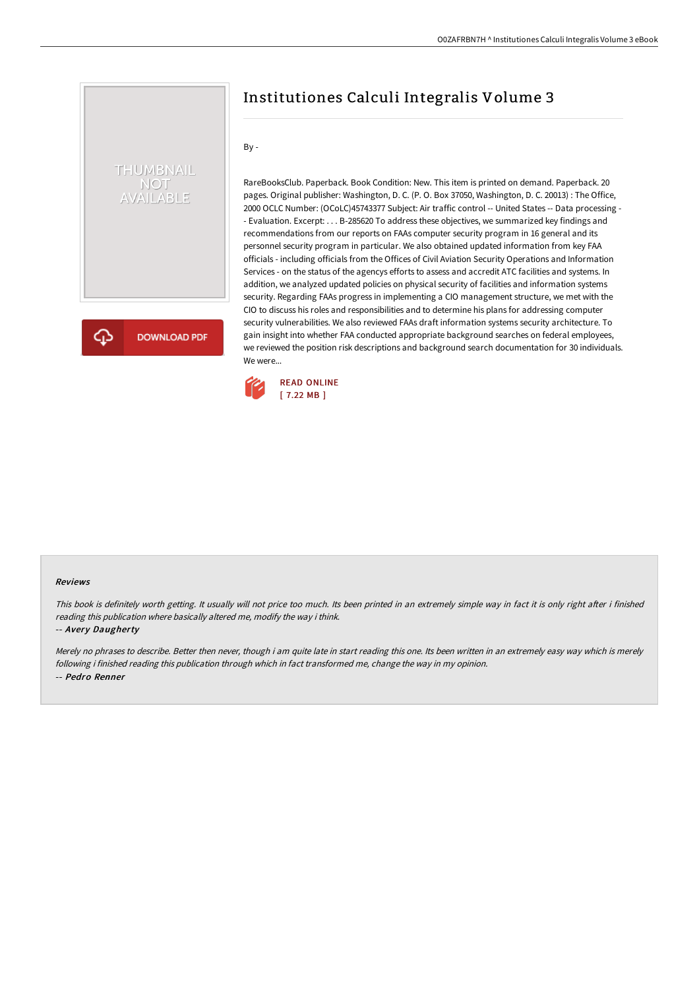# Institutiones Calculi Integralis Volume 3

By -

THUMBNAIL NOT<br>AVAILABLE

**DOWNLOAD PDF** 

RareBooksClub. Paperback. Book Condition: New. This item is printed on demand. Paperback. 20 pages. Original publisher: Washington, D. C. (P. O. Box 37050, Washington, D. C. 20013) : The Office, 2000 OCLC Number: (OCoLC)45743377 Subject: Air traffic control -- United States -- Data processing - - Evaluation. Excerpt: . . . B-285620 To address these objectives, we summarized key findings and recommendations from our reports on FAAs computer security program in 16 general and its personnel security program in particular. We also obtained updated information from key FAA officials - including officials from the Offices of Civil Aviation Security Operations and Information Services - on the status of the agencys efforts to assess and accredit ATC facilities and systems. In addition, we analyzed updated policies on physical security of facilities and information systems security. Regarding FAAs progress in implementing a CIO management structure, we met with the CIO to discuss his roles and responsibilities and to determine his plans for addressing computer security vulnerabilities. We also reviewed FAAs draft information systems security architecture. To gain insight into whether FAA conducted appropriate background searches on federal employees, we reviewed the position risk descriptions and background search documentation for 30 individuals. We were...



#### Reviews

This book is definitely worth getting. It usually will not price too much. Its been printed in an extremely simple way in fact it is only right after i finished reading this publication where basically altered me, modify the way i think.

-- Avery Daugherty

Merely no phrases to describe. Better then never, though i am quite late in start reading this one. Its been written in an extremely easy way which is merely following i finished reading this publication through which in fact transformed me, change the way in my opinion. -- Pedro Renner